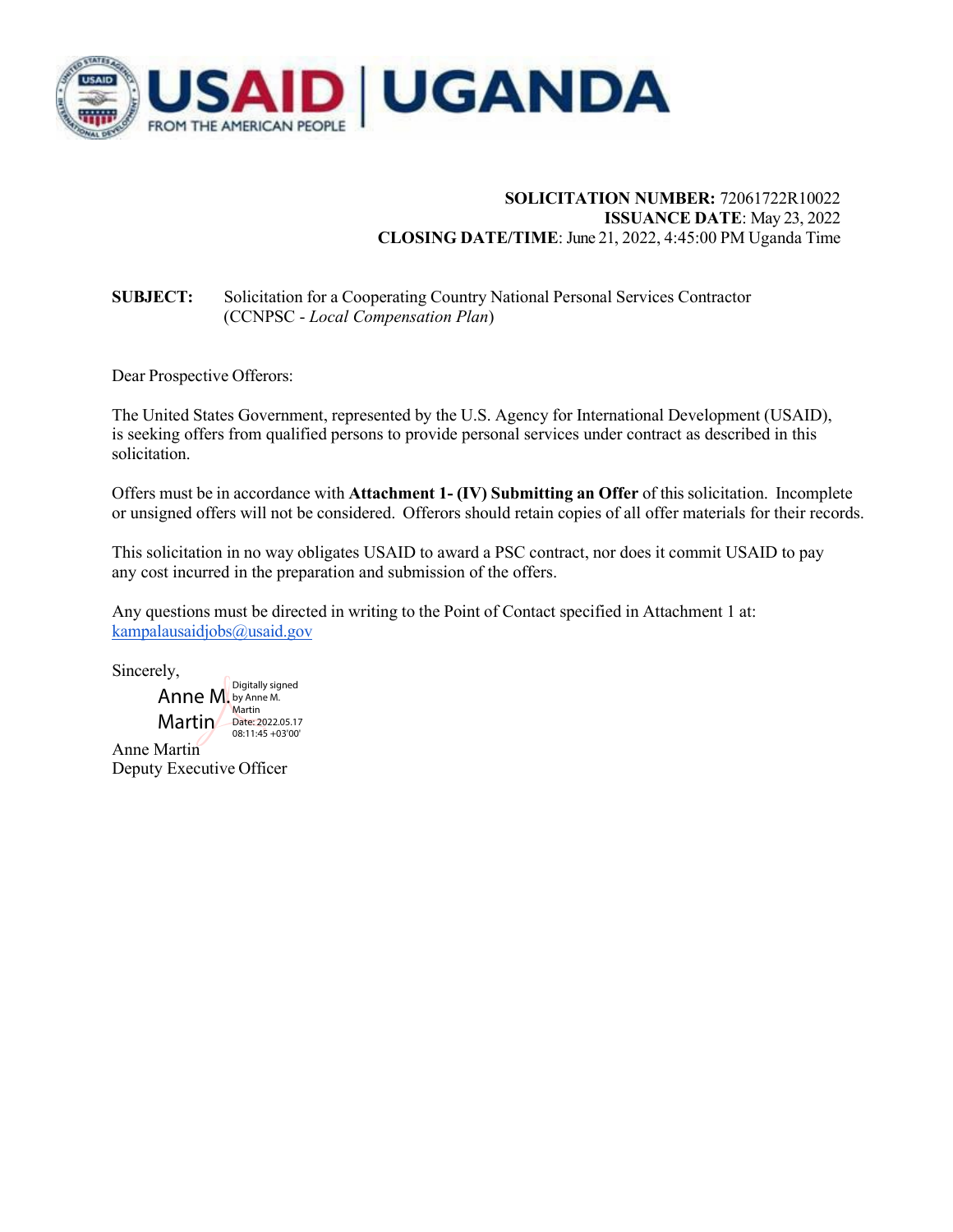

## **SOLICITATION NUMBER:** 72061722R10022 **ISSUANCE DATE**: May 23, 2022 **CLOSING DATE/TIME**: June 21, 2022, 4:45:00 PM Uganda Time

## **SUBJECT:** Solicitation for a Cooperating Country National Personal Services Contractor (CCNPSC - *Local Compensation Plan*)

Dear Prospective Offerors:

The United States Government, represented by the U.S. Agency for International Development (USAID), is seeking offers from qualified persons to provide personal services under contract as described in this solicitation.

Offers must be in accordance with **Attachment 1- (IV) Submitting an Offer** of this solicitation. Incomplete or unsigned offers will not be considered. Offerors should retain copies of all offer materials for their records.

This solicitation in no way obligates USAID to award a PSC contract, nor does it commit USAID to pay any cost incurred in the preparation and submission of the offers.

Any questions must be directed in writing to the Point of Contact specified in Attachment 1 at: kampalausaidjobs@usaid.gov

Sincerely,

Anne Martin Anne M. by Anne M. Martin Date: 2022.05.17 Digitally signed **Martin** 08:11:45 +03'00'

Deputy Executive Officer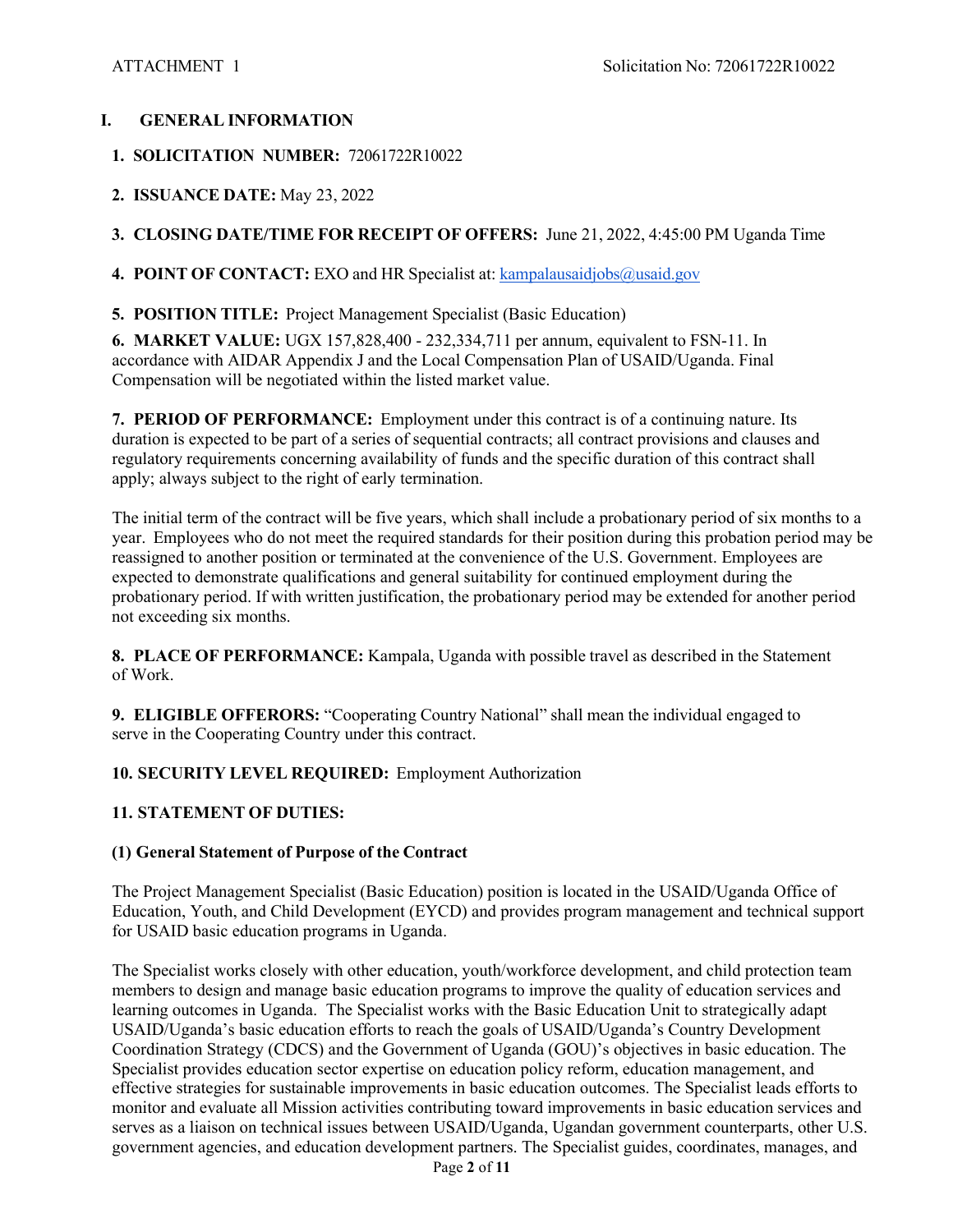## **I. GENERAL INFORMATION**

- **1. SOLICITATION NUMBER:** 72061722R10022
- **2. ISSUANCE DATE:** May 23, 2022

## **3. CLOSING DATE/TIME FOR RECEIPT OF OFFERS:** June 21, 2022, 4:45:00 PM Uganda Time

**4. POINT OF CONTACT:** EXO and HR Specialist at: kampalausaidjobs@usaid.gov

**5. POSITION TITLE:** Project Management Specialist (Basic Education)

**6. MARKET VALUE:** UGX 157,828,400 - 232,334,711 per annum, equivalent to FSN-11. In accordance with AIDAR Appendix J and the Local Compensation Plan of USAID/Uganda. Final Compensation will be negotiated within the listed market value.

**7. PERIOD OF PERFORMANCE:** Employment under this contract is of a continuing nature. Its duration is expected to be part of a series of sequential contracts; all contract provisions and clauses and regulatory requirements concerning availability of funds and the specific duration of this contract shall apply; always subject to the right of early termination.

The initial term of the contract will be five years, which shall include a probationary period of six months to a year. Employees who do not meet the required standards for their position during this probation period may be reassigned to another position or terminated at the convenience of the U.S. Government. Employees are expected to demonstrate qualifications and general suitability for continued employment during the probationary period. If with written justification, the probationary period may be extended for another period not exceeding six months.

**8. PLACE OF PERFORMANCE:** Kampala, Uganda with possible travel as described in the Statement of Work.

**9. ELIGIBLE OFFERORS:** "Cooperating Country National" shall mean the individual engaged to serve in the Cooperating Country under this contract.

## **10. SECURITY LEVEL REQUIRED:** Employment Authorization

## **11. STATEMENT OF DUTIES:**

## **(1) General Statement of Purpose of the Contract**

The Project Management Specialist (Basic Education) position is located in the USAID/Uganda Office of Education, Youth, and Child Development (EYCD) and provides program management and technical support for USAID basic education programs in Uganda.

The Specialist works closely with other education, youth/workforce development, and child protection team members to design and manage basic education programs to improve the quality of education services and learning outcomes in Uganda. The Specialist works with the Basic Education Unit to strategically adapt USAID/Uganda's basic education efforts to reach the goals of USAID/Uganda's Country Development Coordination Strategy (CDCS) and the Government of Uganda (GOU)'s objectives in basic education. The Specialist provides education sector expertise on education policy reform, education management, and effective strategies for sustainable improvements in basic education outcomes. The Specialist leads efforts to monitor and evaluate all Mission activities contributing toward improvements in basic education services and serves as a liaison on technical issues between USAID/Uganda, Ugandan government counterparts, other U.S. government agencies, and education development partners. The Specialist guides, coordinates, manages, and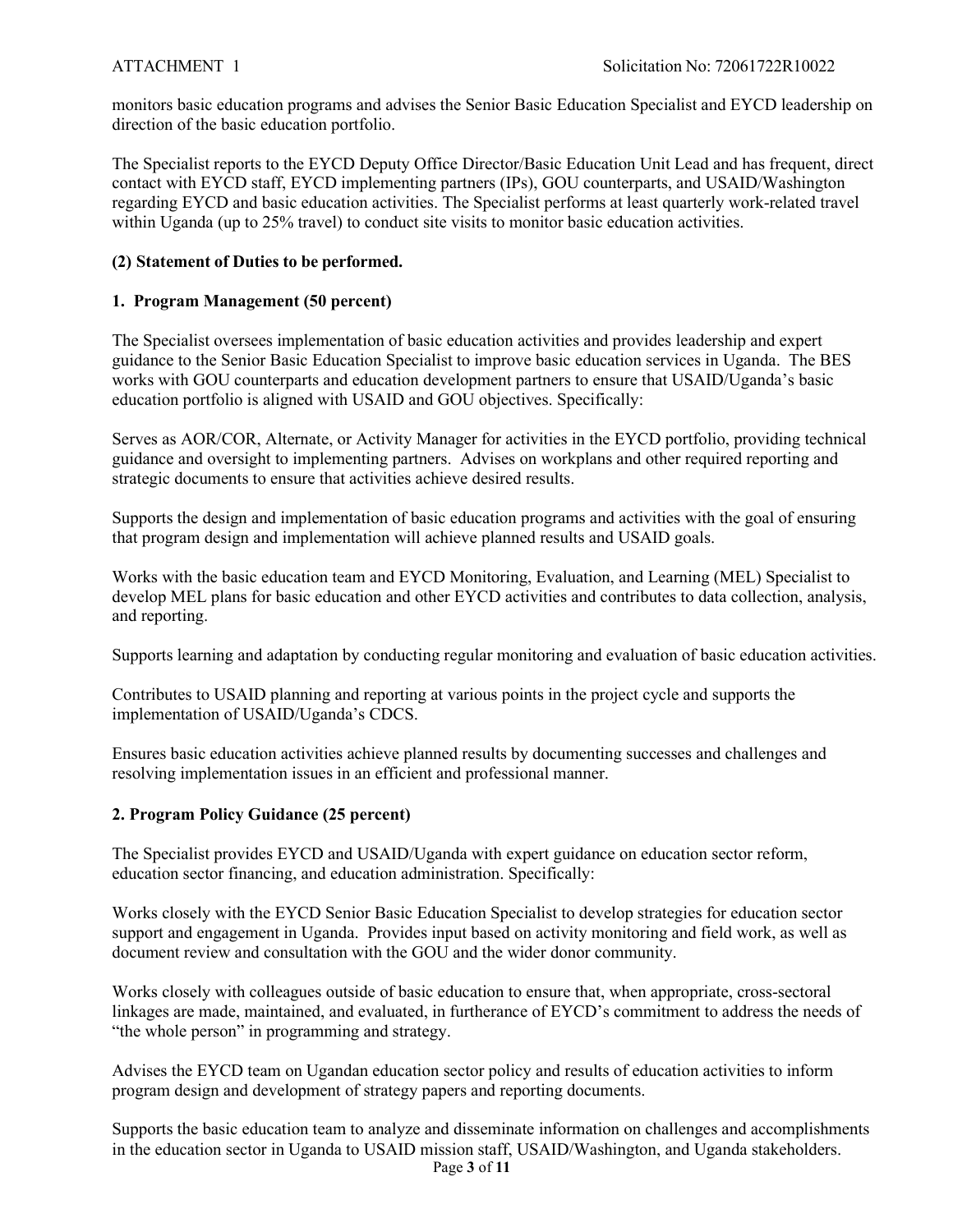monitors basic education programs and advises the Senior Basic Education Specialist and EYCD leadership on direction of the basic education portfolio.

The Specialist reports to the EYCD Deputy Office Director/Basic Education Unit Lead and has frequent, direct contact with EYCD staff, EYCD implementing partners (IPs), GOU counterparts, and USAID/Washington regarding EYCD and basic education activities. The Specialist performs at least quarterly work-related travel within Uganda (up to 25% travel) to conduct site visits to monitor basic education activities.

## **(2) Statement of Duties to be performed.**

## **1. Program Management (50 percent)**

The Specialist oversees implementation of basic education activities and provides leadership and expert guidance to the Senior Basic Education Specialist to improve basic education services in Uganda. The BES works with GOU counterparts and education development partners to ensure that USAID/Uganda's basic education portfolio is aligned with USAID and GOU objectives. Specifically:

Serves as AOR/COR, Alternate, or Activity Manager for activities in the EYCD portfolio, providing technical guidance and oversight to implementing partners. Advises on workplans and other required reporting and strategic documents to ensure that activities achieve desired results.

Supports the design and implementation of basic education programs and activities with the goal of ensuring that program design and implementation will achieve planned results and USAID goals.

Works with the basic education team and EYCD Monitoring, Evaluation, and Learning (MEL) Specialist to develop MEL plans for basic education and other EYCD activities and contributes to data collection, analysis, and reporting.

Supports learning and adaptation by conducting regular monitoring and evaluation of basic education activities.

Contributes to USAID planning and reporting at various points in the project cycle and supports the implementation of USAID/Uganda's CDCS.

Ensures basic education activities achieve planned results by documenting successes and challenges and resolving implementation issues in an efficient and professional manner.

## **2. Program Policy Guidance (25 percent)**

The Specialist provides EYCD and USAID/Uganda with expert guidance on education sector reform, education sector financing, and education administration. Specifically:

Works closely with the EYCD Senior Basic Education Specialist to develop strategies for education sector support and engagement in Uganda. Provides input based on activity monitoring and field work, as well as document review and consultation with the GOU and the wider donor community.

Works closely with colleagues outside of basic education to ensure that, when appropriate, cross-sectoral linkages are made, maintained, and evaluated, in furtherance of EYCD's commitment to address the needs of "the whole person" in programming and strategy.

Advises the EYCD team on Ugandan education sector policy and results of education activities to inform program design and development of strategy papers and reporting documents.

Page **3** of **11** Supports the basic education team to analyze and disseminate information on challenges and accomplishments in the education sector in Uganda to USAID mission staff, USAID/Washington, and Uganda stakeholders.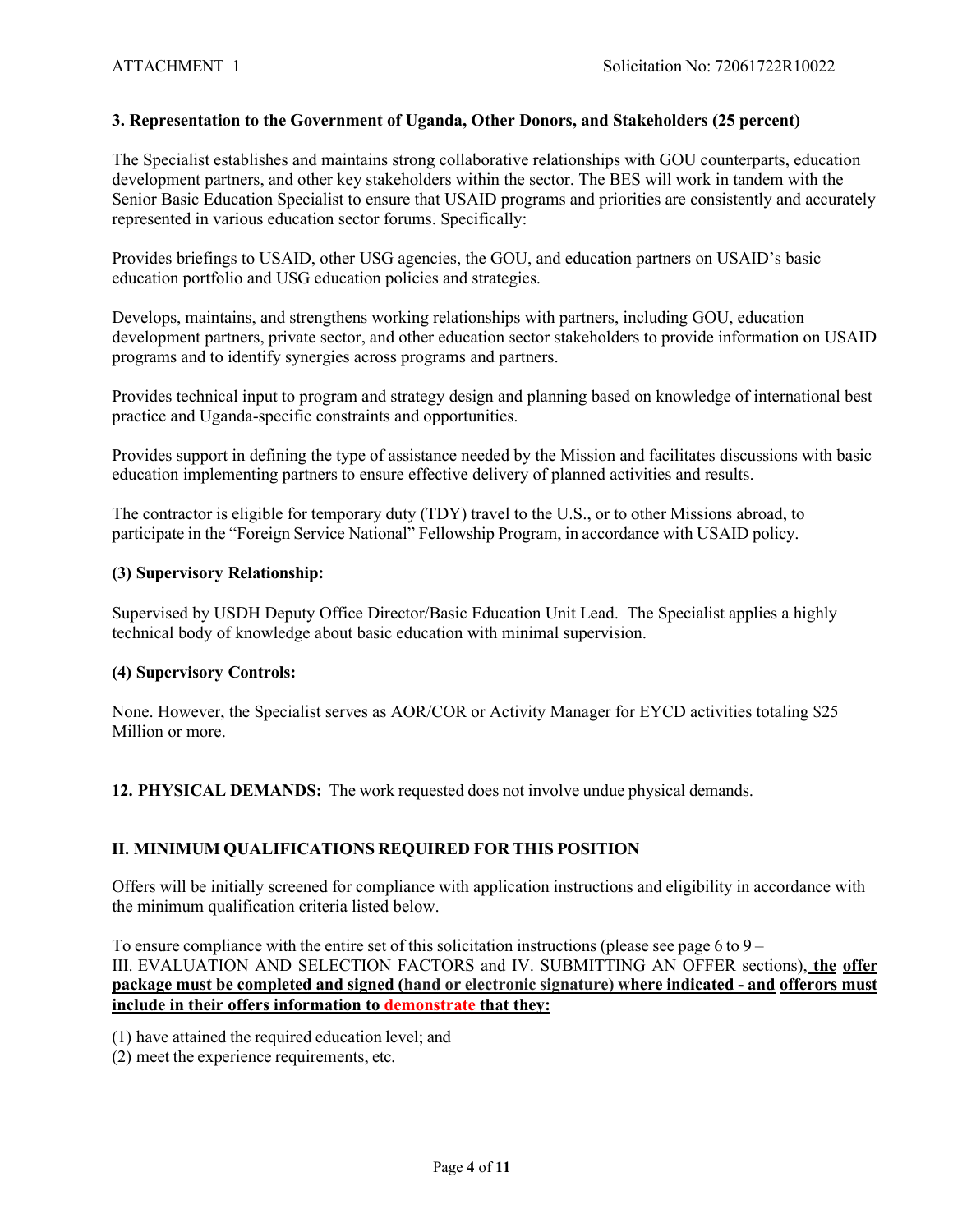## **3. Representation to the Government of Uganda, Other Donors, and Stakeholders (25 percent)**

The Specialist establishes and maintains strong collaborative relationships with GOU counterparts, education development partners, and other key stakeholders within the sector. The BES will work in tandem with the Senior Basic Education Specialist to ensure that USAID programs and priorities are consistently and accurately represented in various education sector forums. Specifically:

Provides briefings to USAID, other USG agencies, the GOU, and education partners on USAID's basic education portfolio and USG education policies and strategies.

Develops, maintains, and strengthens working relationships with partners, including GOU, education development partners, private sector, and other education sector stakeholders to provide information on USAID programs and to identify synergies across programs and partners.

Provides technical input to program and strategy design and planning based on knowledge of international best practice and Uganda-specific constraints and opportunities.

Provides support in defining the type of assistance needed by the Mission and facilitates discussions with basic education implementing partners to ensure effective delivery of planned activities and results.

The contractor is eligible for temporary duty (TDY) travel to the U.S., or to other Missions abroad, to participate in the "Foreign Service National" Fellowship Program, in accordance with USAID policy.

## **(3) Supervisory Relationship:**

Supervised by USDH Deputy Office Director/Basic Education Unit Lead. The Specialist applies a highly technical body of knowledge about basic education with minimal supervision.

#### **(4) Supervisory Controls:**

None. However, the Specialist serves as AOR/COR or Activity Manager for EYCD activities totaling \$25 Million or more.

**12. PHYSICAL DEMANDS:** The work requested does not involve undue physical demands.

## **II. MINIMUM QUALIFICATIONS REQUIRED FOR THIS POSITION**

Offers will be initially screened for compliance with application instructions and eligibility in accordance with the minimum qualification criteria listed below.

To ensure compliance with the entire set of this solicitation instructions (please see page 6 to  $9 -$ III. EVALUATION AND SELECTION FACTORS and IV. SUBMITTING AN OFFER sections), **the offer package must be completed and signed (hand or electronic signature) where indicated - and offerors must include in their offers information to demonstrate that they:**

(1) have attained the required education level; and

(2) meet the experience requirements, etc.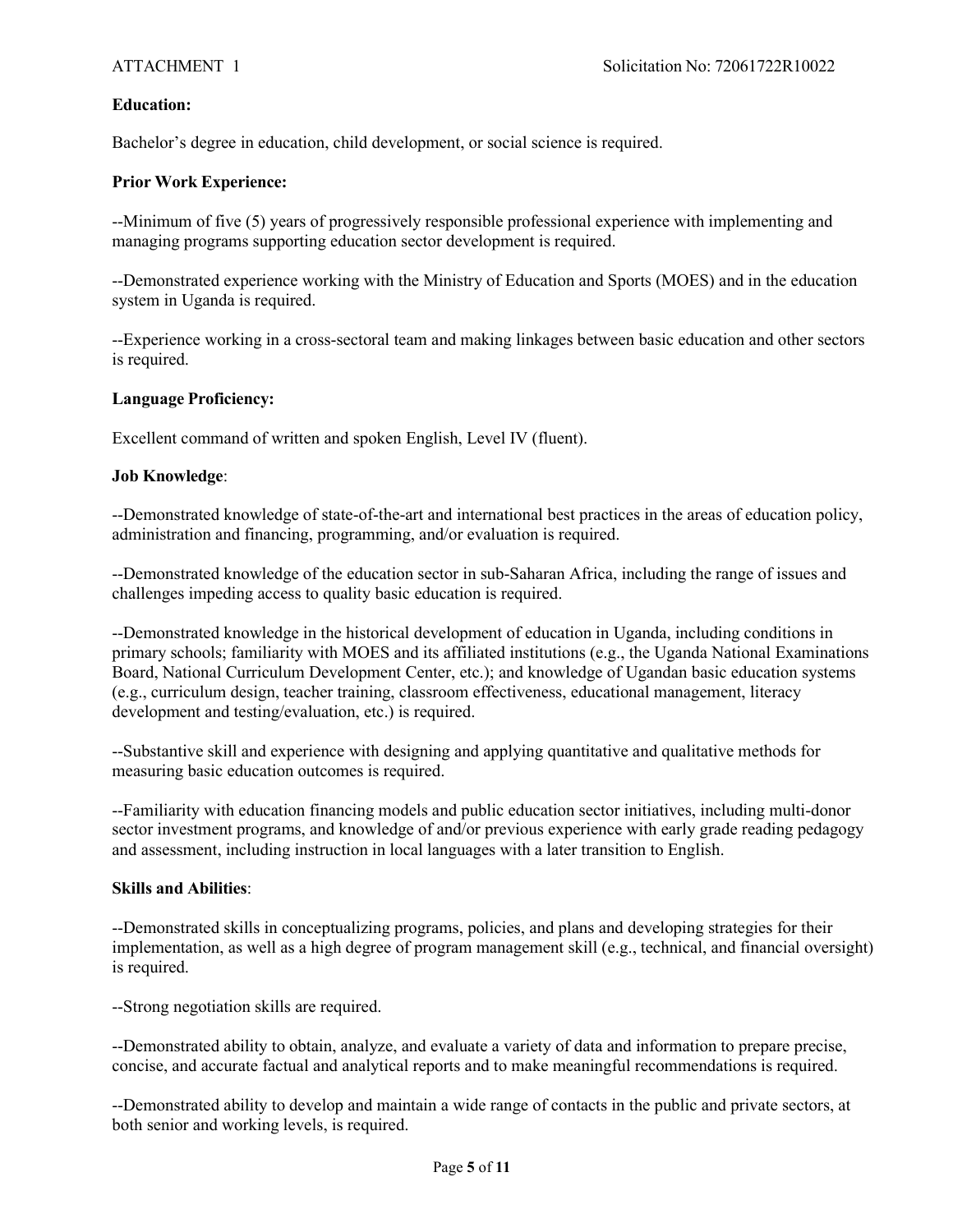## **Education:**

Bachelor's degree in education, child development, or social science is required.

#### **Prior Work Experience:**

--Minimum of five (5) years of progressively responsible professional experience with implementing and managing programs supporting education sector development is required.

--Demonstrated experience working with the Ministry of Education and Sports (MOES) and in the education system in Uganda is required.

--Experience working in a cross-sectoral team and making linkages between basic education and other sectors is required.

#### **Language Proficiency:**

Excellent command of written and spoken English, Level IV (fluent).

#### **Job Knowledge**:

--Demonstrated knowledge of state-of-the-art and international best practices in the areas of education policy, administration and financing, programming, and/or evaluation is required.

--Demonstrated knowledge of the education sector in sub-Saharan Africa, including the range of issues and challenges impeding access to quality basic education is required.

--Demonstrated knowledge in the historical development of education in Uganda, including conditions in primary schools; familiarity with MOES and its affiliated institutions (e.g., the Uganda National Examinations Board, National Curriculum Development Center, etc.); and knowledge of Ugandan basic education systems (e.g., curriculum design, teacher training, classroom effectiveness, educational management, literacy development and testing/evaluation, etc.) is required.

--Substantive skill and experience with designing and applying quantitative and qualitative methods for measuring basic education outcomes is required.

--Familiarity with education financing models and public education sector initiatives, including multi-donor sector investment programs, and knowledge of and/or previous experience with early grade reading pedagogy and assessment, including instruction in local languages with a later transition to English.

#### **Skills and Abilities**:

--Demonstrated skills in conceptualizing programs, policies, and plans and developing strategies for their implementation, as well as a high degree of program management skill (e.g., technical, and financial oversight) is required.

--Strong negotiation skills are required.

--Demonstrated ability to obtain, analyze, and evaluate a variety of data and information to prepare precise, concise, and accurate factual and analytical reports and to make meaningful recommendations is required.

--Demonstrated ability to develop and maintain a wide range of contacts in the public and private sectors, at both senior and working levels, is required.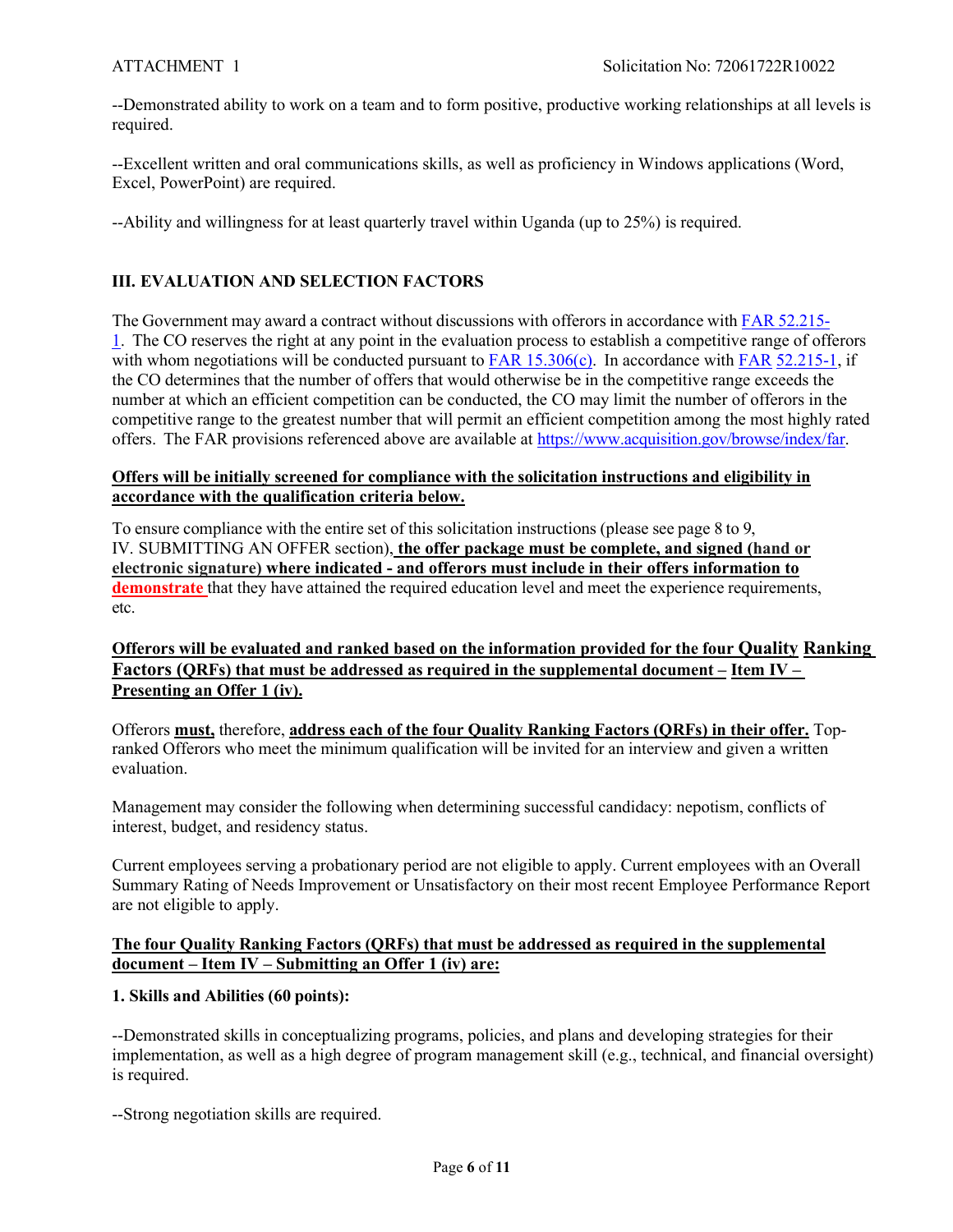--Demonstrated ability to work on a team and to form positive, productive working relationships at all levels is required.

--Excellent written and oral communications skills, as well as proficiency in Windows applications (Word, Excel, PowerPoint) are required.

--Ability and willingness for at least quarterly travel within Uganda (up to 25%) is required.

## **III. EVALUATION AND SELECTION FACTORS**

The Government may award a contract without discussions with offerors in accordance with FAR 52.215- 1. The CO reserves the right at any point in the evaluation process to establish a competitive range of offerors with whom negotiations will be conducted pursuant to FAR 15.306(c). In accordance with FAR 52.215-1, if the CO determines that the number of offers that would otherwise be in the competitive range exceeds the number at which an efficient competition can be conducted, the CO may limit the number of offerors in the competitive range to the greatest number that will permit an efficient competition among the most highly rated offers. The FAR provisions referenced above are available at https://www.acquisition.gov/browse/index/far.

## **Offers will be initially screened for compliance with the solicitation instructions and eligibility in accordance with the qualification criteria below.**

To ensure compliance with the entire set of this solicitation instructions (please see page 8 to 9, IV. SUBMITTING AN OFFER section), **the offer package must be complete, and signed (hand or electronic signature) where indicated - and offerors must include in their offers information to demonstrate** that they have attained the required education level and meet the experience requirements, etc.

## **Offerors will be evaluated and ranked based on the information provided for the four Quality Ranking Factors (QRFs) that must be addressed as required in the supplemental document – Item IV – Presenting an Offer 1 (iv).**

Offerors **must,** therefore, **address each of the four Quality Ranking Factors (QRFs) in their offer.** Topranked Offerors who meet the minimum qualification will be invited for an interview and given a written evaluation.

Management may consider the following when determining successful candidacy: nepotism, conflicts of interest, budget, and residency status.

Current employees serving a probationary period are not eligible to apply. Current employees with an Overall Summary Rating of Needs Improvement or Unsatisfactory on their most recent Employee Performance Report are not eligible to apply.

## **The four Quality Ranking Factors (QRFs) that must be addressed as required in the supplemental document – Item IV – Submitting an Offer 1 (iv) are:**

## **1. Skills and Abilities (60 points):**

--Demonstrated skills in conceptualizing programs, policies, and plans and developing strategies for their implementation, as well as a high degree of program management skill (e.g., technical, and financial oversight) is required.

--Strong negotiation skills are required.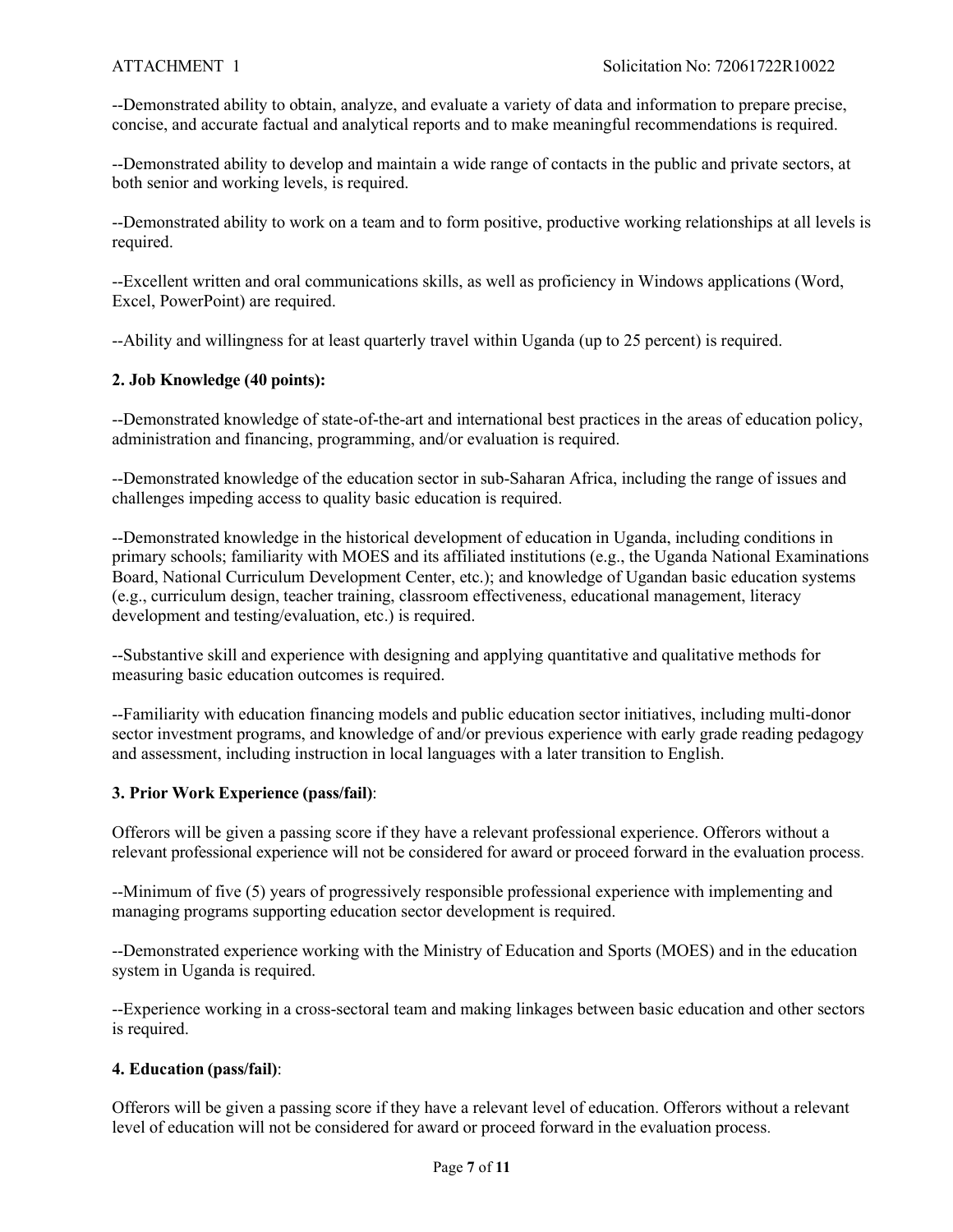--Demonstrated ability to obtain, analyze, and evaluate a variety of data and information to prepare precise, concise, and accurate factual and analytical reports and to make meaningful recommendations is required.

--Demonstrated ability to develop and maintain a wide range of contacts in the public and private sectors, at both senior and working levels, is required.

--Demonstrated ability to work on a team and to form positive, productive working relationships at all levels is required.

--Excellent written and oral communications skills, as well as proficiency in Windows applications (Word, Excel, PowerPoint) are required.

--Ability and willingness for at least quarterly travel within Uganda (up to 25 percent) is required.

## **2. Job Knowledge (40 points):**

--Demonstrated knowledge of state-of-the-art and international best practices in the areas of education policy, administration and financing, programming, and/or evaluation is required.

--Demonstrated knowledge of the education sector in sub-Saharan Africa, including the range of issues and challenges impeding access to quality basic education is required.

--Demonstrated knowledge in the historical development of education in Uganda, including conditions in primary schools; familiarity with MOES and its affiliated institutions (e.g., the Uganda National Examinations Board, National Curriculum Development Center, etc.); and knowledge of Ugandan basic education systems (e.g., curriculum design, teacher training, classroom effectiveness, educational management, literacy development and testing/evaluation, etc.) is required.

--Substantive skill and experience with designing and applying quantitative and qualitative methods for measuring basic education outcomes is required.

--Familiarity with education financing models and public education sector initiatives, including multi-donor sector investment programs, and knowledge of and/or previous experience with early grade reading pedagogy and assessment, including instruction in local languages with a later transition to English.

## **3. Prior Work Experience (pass/fail)**:

Offerors will be given a passing score if they have a relevant professional experience. Offerors without a relevant professional experience will not be considered for award or proceed forward in the evaluation process.

--Minimum of five (5) years of progressively responsible professional experience with implementing and managing programs supporting education sector development is required.

--Demonstrated experience working with the Ministry of Education and Sports (MOES) and in the education system in Uganda is required.

--Experience working in a cross-sectoral team and making linkages between basic education and other sectors is required.

## **4. Education (pass/fail)**:

Offerors will be given a passing score if they have a relevant level of education. Offerors without a relevant level of education will not be considered for award or proceed forward in the evaluation process.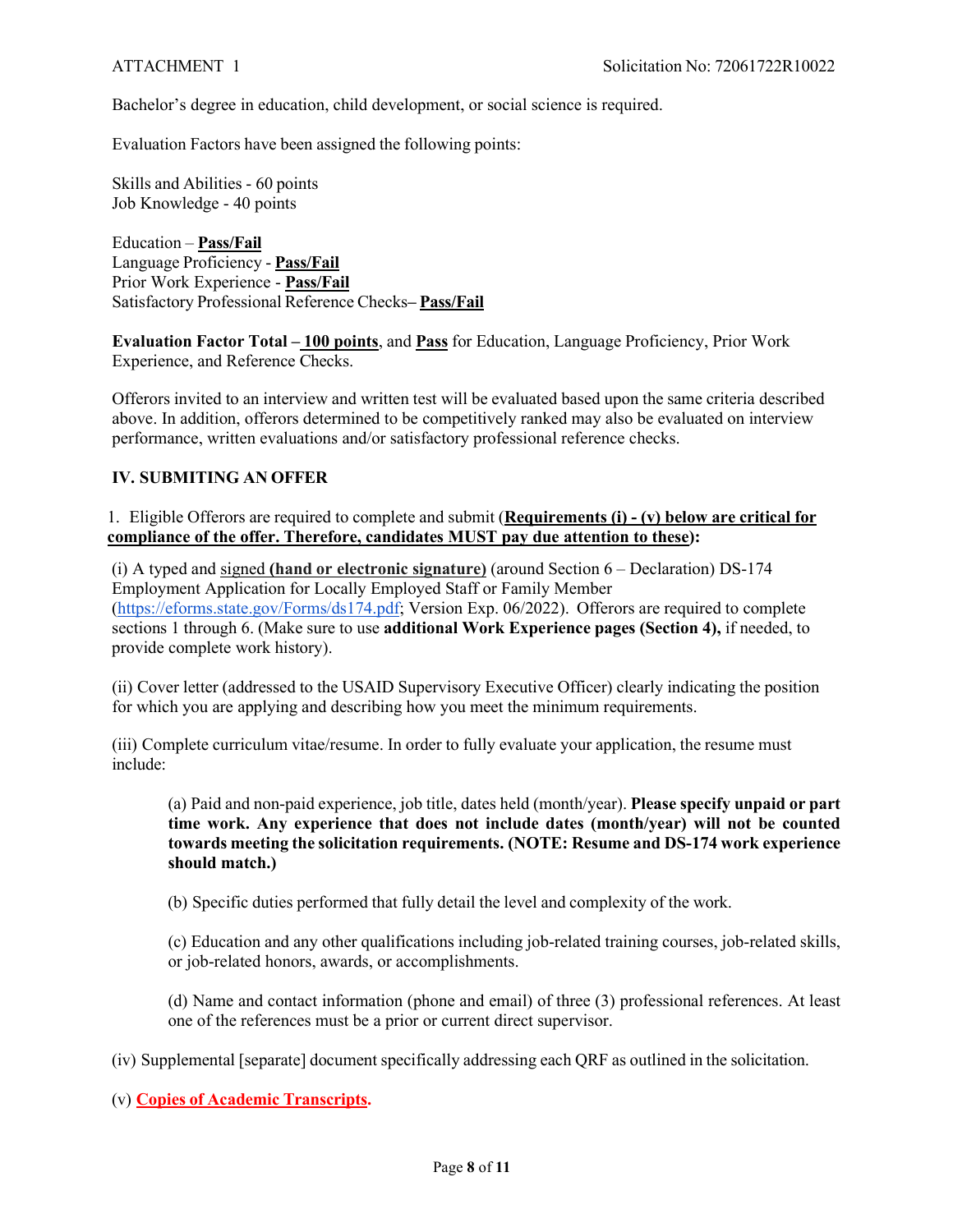Bachelor's degree in education, child development, or social science is required.

Evaluation Factors have been assigned the following points:

Skills and Abilities - 60 points Job Knowledge - 40 points

Education – **Pass/Fail** Language Proficiency - **Pass/Fail** Prior Work Experience - **Pass/Fail** Satisfactory Professional Reference Checks**– Pass/Fail**

**Evaluation Factor Total – 100 points**, and **Pass** for Education, Language Proficiency, Prior Work Experience, and Reference Checks.

Offerors invited to an interview and written test will be evaluated based upon the same criteria described above. In addition, offerors determined to be competitively ranked may also be evaluated on interview performance, written evaluations and/or satisfactory professional reference checks.

#### **IV. SUBMITING AN OFFER**

1. Eligible Offerors are required to complete and submit (**Requirements (i) - (v) below are critical for compliance of the offer. Therefore, candidates MUST pay due attention to these):**

(i) A typed and signed **(hand or electronic signature)** (around Section 6 – Declaration) DS-174 Employment Application for Locally Employed Staff or Family Member (https://eforms.state.gov/Forms/ds174.pdf; Version Exp. 06/2022). Offerors are required to complete sections 1 through 6. (Make sure to use **additional Work Experience pages (Section 4),** if needed, to provide complete work history).

(ii) Cover letter (addressed to the USAID Supervisory Executive Officer) clearly indicating the position for which you are applying and describing how you meet the minimum requirements.

(iii) Complete curriculum vitae/resume. In order to fully evaluate your application, the resume must include:

(a) Paid and non-paid experience, job title, dates held (month/year). **Please specify unpaid or part time work. Any experience that does not include dates (month/year) will not be counted towards meeting the solicitation requirements. (NOTE: Resume and DS-174 work experience should match.)**

(b) Specific duties performed that fully detail the level and complexity of the work.

(c) Education and any other qualifications including job-related training courses, job-related skills, or job-related honors, awards, or accomplishments.

(d) Name and contact information (phone and email) of three (3) professional references. At least one of the references must be a prior or current direct supervisor.

(iv) Supplemental [separate] document specifically addressing each QRF as outlined in the solicitation.

(v) **Copies of Academic Transcripts.**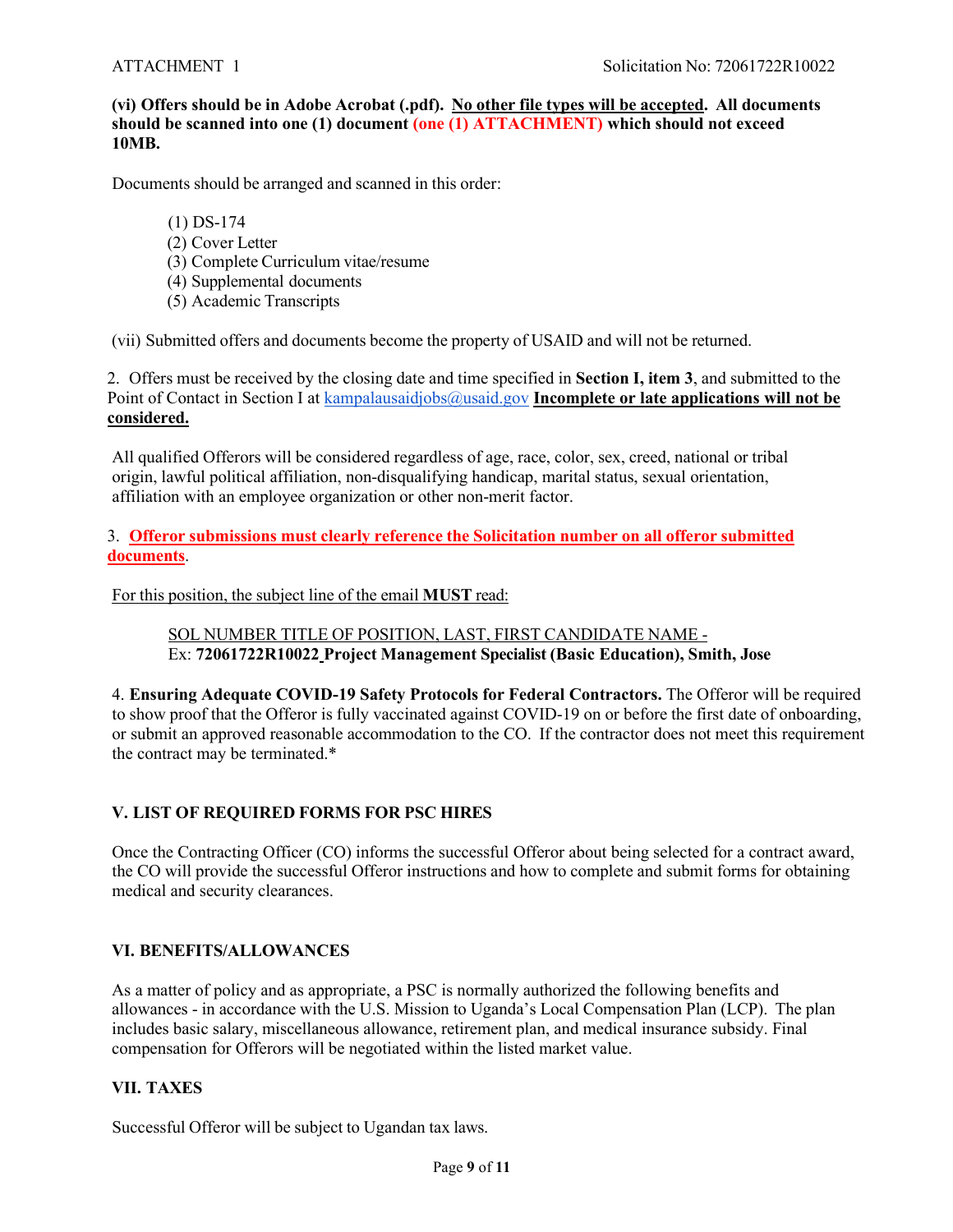## **(vi) Offers should be in Adobe Acrobat (.pdf). No other file types will be accepted. All documents**  should be scanned into one (1) document (one (1) ATTACHMENT) which should not exceed **10MB.**

Documents should be arranged and scanned in this order:

(1) DS-174 (2) Cover Letter (3) Complete Curriculum vitae/resume (4) Supplemental documents (5) Academic Transcripts

(vii) Submitted offers and documents become the property of USAID and will not be returned.

2. Offers must be received by the closing date and time specified in **Section I, item 3**, and submitted to the Point of Contact in Section I at kampalausaidjobs@usaid.gov **Incomplete or late applications will not be considered.**

All qualified Offerors will be considered regardless of age, race, color, sex, creed, national or tribal origin, lawful political affiliation, non-disqualifying handicap, marital status, sexual orientation, affiliation with an employee organization or other non-merit factor.

3. **Offeror submissions must clearly reference the Solicitation number on all offeror submitted documents**.

For this position, the subject line of the email **MUST** read:

SOL NUMBER TITLE OF POSITION, LAST, FIRST CANDIDATE NAME - Ex: **72061722R10022 Project Management Specialist (Basic Education), Smith, Jose**

4. **Ensuring Adequate COVID-19 Safety Protocols for Federal Contractors.** The Offeror will be required to show proof that the Offeror is fully vaccinated against COVID-19 on or before the first date of onboarding, or submit an approved reasonable accommodation to the CO. If the contractor does not meet this requirement the contract may be terminated.\*

## **V. LIST OF REQUIRED FORMS FOR PSC HIRES**

Once the Contracting Officer (CO) informs the successful Offeror about being selected for a contract award, the CO will provide the successful Offeror instructions and how to complete and submit forms for obtaining medical and security clearances.

## **VI. BENEFITS/ALLOWANCES**

As a matter of policy and as appropriate, a PSC is normally authorized the following benefits and allowances - in accordance with the U.S. Mission to Uganda's Local Compensation Plan (LCP). The plan includes basic salary, miscellaneous allowance, retirement plan, and medical insurance subsidy. Final compensation for Offerors will be negotiated within the listed market value.

## **VII. TAXES**

Successful Offeror will be subject to Ugandan tax laws.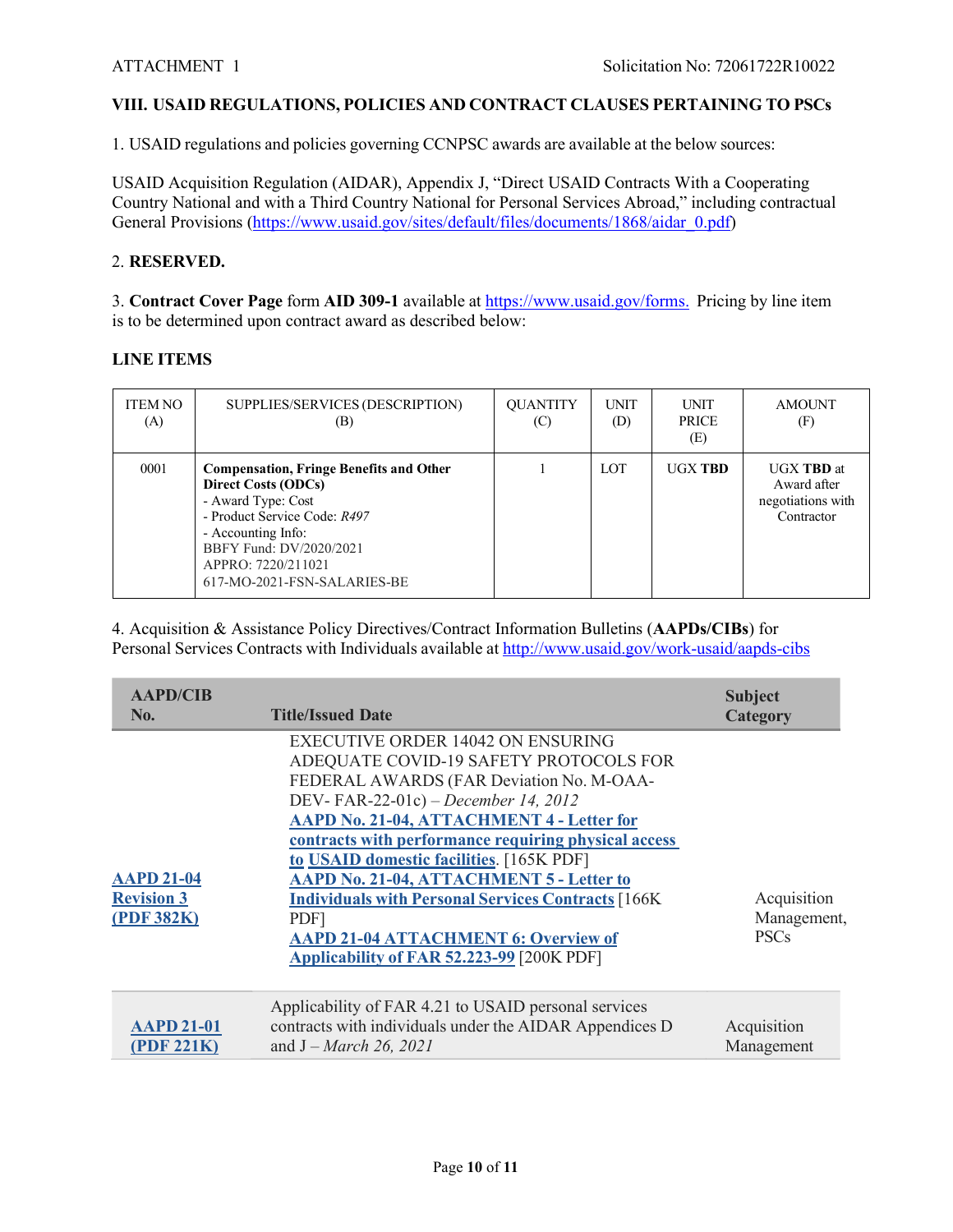## **VIII. USAID REGULATIONS, POLICIES AND CONTRACT CLAUSES PERTAINING TO PSCs**

1. USAID regulations and policies governing CCNPSC awards are available at the below sources:

USAID Acquisition Regulation (AIDAR), Appendix J, "Direct USAID Contracts With a Cooperating Country National and with a Third Country National for Personal Services Abroad," including contractual General Provisions (https://www.usaid.gov/sites/default/files/documents/1868/aidar\_0.pdf)

#### 2. **RESERVED.**

3. **Contract Cover Page** form **AID 309-1** available at https://www.usaid.gov/forms. Pricing by line item is to be determined upon contract award as described below:

## **LINE ITEMS**

| <b>ITEM NO</b><br>(A) | SUPPLIES/SERVICES (DESCRIPTION)<br>(B)                                                                                                                                                                                                   | <b>QUANTITY</b><br>(C) | <b>UNIT</b><br>(D) | <b>UNIT</b><br><b>PRICE</b><br>(E) | AMOUNT<br>(F)                                                       |
|-----------------------|------------------------------------------------------------------------------------------------------------------------------------------------------------------------------------------------------------------------------------------|------------------------|--------------------|------------------------------------|---------------------------------------------------------------------|
| 0001                  | <b>Compensation, Fringe Benefits and Other</b><br><b>Direct Costs (ODCs)</b><br>- Award Type: Cost<br>- Product Service Code: R497<br>- Accounting Info:<br>BBFY Fund: DV/2020/2021<br>APPRO: 7220/211021<br>617-MO-2021-FSN-SALARIES-BE |                        | <b>LOT</b>         | <b>UGX TRD</b>                     | <b>UGX TBD</b> at<br>Award after<br>negotiations with<br>Contractor |

4. Acquisition & Assistance Policy Directives/Contract Information Bulletins (**AAPDs/CIBs**) for Personal Services Contracts with Individuals available at http://www.usaid.gov/work-usaid/aapds-cibs

| <b>AAPD/CIB</b><br>No.                               | <b>Title/Issued Date</b>                                                                                                                                                                                                                                                                                                                                                                                                                                                                                                                                | <b>Subject</b><br><b>Category</b>         |
|------------------------------------------------------|---------------------------------------------------------------------------------------------------------------------------------------------------------------------------------------------------------------------------------------------------------------------------------------------------------------------------------------------------------------------------------------------------------------------------------------------------------------------------------------------------------------------------------------------------------|-------------------------------------------|
| <b>AAPD 21-04</b><br><b>Revision 3</b><br>(PDF 382K) | <b>EXECUTIVE ORDER 14042 ON ENSURING</b><br>ADEQUATE COVID-19 SAFETY PROTOCOLS FOR<br>FEDERAL AWARDS (FAR Deviation No. M-OAA-<br>DEV-FAR-22-01c) – December 14, 2012<br>AAPD No. 21-04, ATTACHMENT 4 - Letter for<br>contracts with performance requiring physical access<br>to USAID domestic facilities. [165K PDF]<br><b>AAPD No. 21-04, ATTACHMENT 5 - Letter to</b><br><b>Individuals with Personal Services Contracts [166K]</b><br>PDF <sub>1</sub><br><b>AAPD 21-04 ATTACHMENT 6: Overview of</b><br>Applicability of FAR 52.223-99 [200K PDF] | Acquisition<br>Management,<br><b>PSCs</b> |
| <b>AAPD 21-01</b><br>(PDF 221K)                      | Applicability of FAR 4.21 to USAID personal services<br>contracts with individuals under the AIDAR Appendices D<br>and $J - March 26, 2021$                                                                                                                                                                                                                                                                                                                                                                                                             | Acquisition<br>Management                 |